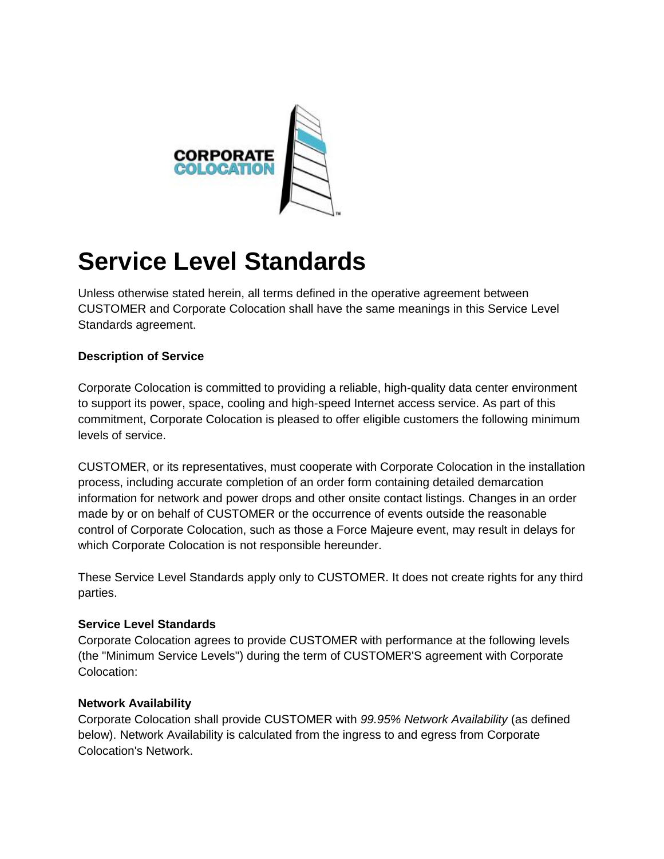

# **Service Level Standards**

Unless otherwise stated herein, all terms defined in the operative agreement between CUSTOMER and Corporate Colocation shall have the same meanings in this Service Level Standards agreement.

# **Description of Service**

Corporate Colocation is committed to providing a reliable, high-quality data center environment to support its power, space, cooling and high-speed Internet access service. As part of this commitment, Corporate Colocation is pleased to offer eligible customers the following minimum levels of service.

CUSTOMER, or its representatives, must cooperate with Corporate Colocation in the installation process, including accurate completion of an order form containing detailed demarcation information for network and power drops and other onsite contact listings. Changes in an order made by or on behalf of CUSTOMER or the occurrence of events outside the reasonable control of Corporate Colocation, such as those a Force Majeure event, may result in delays for which Corporate Colocation is not responsible hereunder.

These Service Level Standards apply only to CUSTOMER. It does not create rights for any third parties.

#### **Service Level Standards**

Corporate Colocation agrees to provide CUSTOMER with performance at the following levels (the "Minimum Service Levels") during the term of CUSTOMER'S agreement with Corporate Colocation:

#### **Network Availability**

Corporate Colocation shall provide CUSTOMER with *99.95% Network Availability* (as defined below). Network Availability is calculated from the ingress to and egress from Corporate Colocation's Network.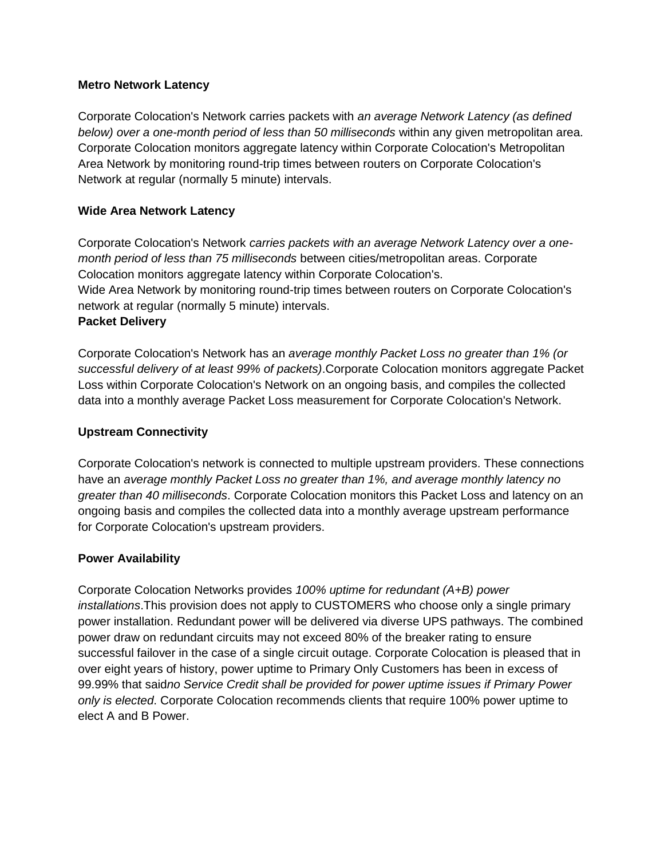#### **Metro Network Latency**

Corporate Colocation's Network carries packets with *an average Network Latency (as defined below) over a one-month period of less than 50 milliseconds* within any given metropolitan area. Corporate Colocation monitors aggregate latency within Corporate Colocation's Metropolitan Area Network by monitoring round-trip times between routers on Corporate Colocation's Network at regular (normally 5 minute) intervals.

## **Wide Area Network Latency**

Corporate Colocation's Network *carries packets with an average Network Latency over a onemonth period of less than 75 milliseconds* between cities/metropolitan areas. Corporate Colocation monitors aggregate latency within Corporate Colocation's. Wide Area Network by monitoring round-trip times between routers on Corporate Colocation's network at regular (normally 5 minute) intervals. **Packet Delivery**

Corporate Colocation's Network has an *average monthly Packet Loss no greater than 1% (or successful delivery of at least 99% of packets)*.Corporate Colocation monitors aggregate Packet Loss within Corporate Colocation's Network on an ongoing basis, and compiles the collected data into a monthly average Packet Loss measurement for Corporate Colocation's Network.

## **Upstream Connectivity**

Corporate Colocation's network is connected to multiple upstream providers. These connections have an *average monthly Packet Loss no greater than 1%, and average monthly latency no greater than 40 milliseconds*. Corporate Colocation monitors this Packet Loss and latency on an ongoing basis and compiles the collected data into a monthly average upstream performance for Corporate Colocation's upstream providers.

# **Power Availability**

Corporate Colocation Networks provides *100% uptime for redundant (A+B) power installations*.This provision does not apply to CUSTOMERS who choose only a single primary power installation. Redundant power will be delivered via diverse UPS pathways. The combined power draw on redundant circuits may not exceed 80% of the breaker rating to ensure successful failover in the case of a single circuit outage. Corporate Colocation is pleased that in over eight years of history, power uptime to Primary Only Customers has been in excess of 99.99% that said*no Service Credit shall be provided for power uptime issues if Primary Power only is elected*. Corporate Colocation recommends clients that require 100% power uptime to elect A and B Power.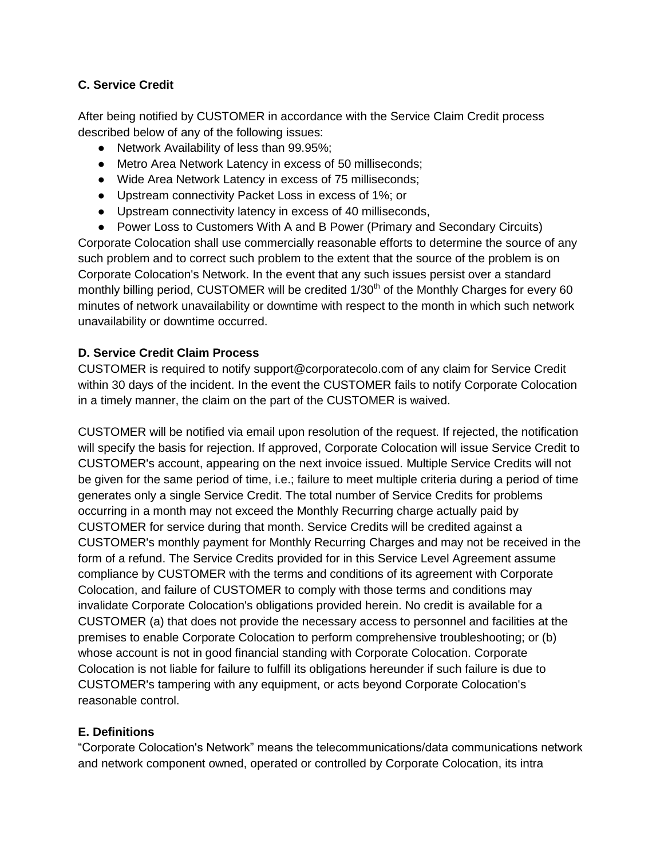# **C. Service Credit**

After being notified by CUSTOMER in accordance with the Service Claim Credit process described below of any of the following issues:

- Network Availability of less than 99.95%;
- Metro Area Network Latency in excess of 50 milliseconds;
- Wide Area Network Latency in excess of 75 milliseconds;
- Upstream connectivity Packet Loss in excess of 1%; or
- Upstream connectivity latency in excess of 40 milliseconds,
- Power Loss to Customers With A and B Power (Primary and Secondary Circuits)

Corporate Colocation shall use commercially reasonable efforts to determine the source of any such problem and to correct such problem to the extent that the source of the problem is on Corporate Colocation's Network. In the event that any such issues persist over a standard monthly billing period, CUSTOMER will be credited  $1/30<sup>th</sup>$  of the Monthly Charges for every 60 minutes of network unavailability or downtime with respect to the month in which such network unavailability or downtime occurred.

### **D. Service Credit Claim Process**

CUSTOMER is required to notify support@corporatecolo.com of any claim for Service Credit within 30 days of the incident. In the event the CUSTOMER fails to notify Corporate Colocation in a timely manner, the claim on the part of the CUSTOMER is waived.

CUSTOMER will be notified via email upon resolution of the request. If rejected, the notification will specify the basis for rejection. If approved, Corporate Colocation will issue Service Credit to CUSTOMER's account, appearing on the next invoice issued. Multiple Service Credits will not be given for the same period of time, i.e.; failure to meet multiple criteria during a period of time generates only a single Service Credit. The total number of Service Credits for problems occurring in a month may not exceed the Monthly Recurring charge actually paid by CUSTOMER for service during that month. Service Credits will be credited against a CUSTOMER's monthly payment for Monthly Recurring Charges and may not be received in the form of a refund. The Service Credits provided for in this Service Level Agreement assume compliance by CUSTOMER with the terms and conditions of its agreement with Corporate Colocation, and failure of CUSTOMER to comply with those terms and conditions may invalidate Corporate Colocation's obligations provided herein. No credit is available for a CUSTOMER (a) that does not provide the necessary access to personnel and facilities at the premises to enable Corporate Colocation to perform comprehensive troubleshooting; or (b) whose account is not in good financial standing with Corporate Colocation. Corporate Colocation is not liable for failure to fulfill its obligations hereunder if such failure is due to CUSTOMER's tampering with any equipment, or acts beyond Corporate Colocation's reasonable control.

# **E. Definitions**

"Corporate Colocation's Network" means the telecommunications/data communications network and network component owned, operated or controlled by Corporate Colocation, its intra